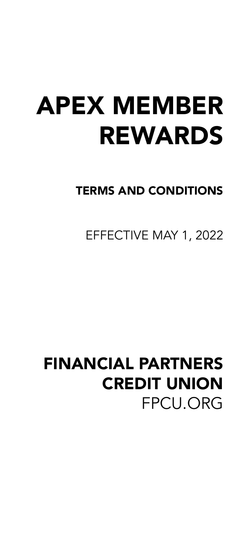# APEX MEMBER REWARDS

### TERMS AND CONDITIONS

EFFECTIVE MAY 1, 2022

## FINANCIAL PARTNERS CREDIT UNION FPCU.ORG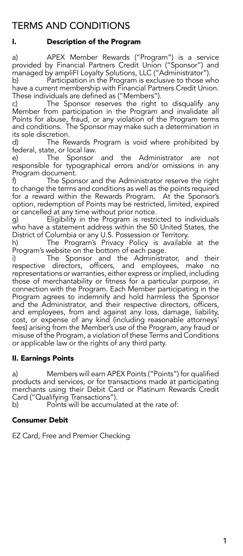### TERMS AND CONDITIONS

#### I. Description of the Program

a) APEX Member Rewards ("Program") is a service provided by Financial Partners Credit Union ("Sponsor") and managed by ampliFI Loyalty Solutions, LLC ("Administrator").

b) Participation in the Program is exclusive to those who have a current membership with Financial Partners Credit Union. These individuals are defined as ("Members").

c) The Sponsor reserves the right to disqualify any Member from participation in the Program and invalidate all Points for abuse, fraud, or any violation of the Program terms and conditions. The Sponsor may make such a determination in its sole discretion.

d) The Rewards Program is void where prohibited by federal, state, or local law.

e) The Sponsor and the Administrator are not responsible for typographical errors and/or omissions in any

Program document.<br>f) The Spor The Sponsor and the Administrator reserve the right to change the terms and conditions as well as the points required for a reward within the Rewards Program. At the Sponsor's option, redemption of Points may be restricted, limited, expired or cancelled at any time without prior notice.

g) Eligibility in the Program is restricted to individuals who have a statement address within the 50 United States, the District of Columbia or any U.S. Possession or Territory.

The Program's Privacy Policy is available at the Program's website on the bottom of each page.

i) The Sponsor and the Administrator, and their respective directors, officers, and employees, make no representations or warranties, either express or implied, including those of merchantability or fitness for a particular purpose, in connection with the Program. Each Member participating in the Program agrees to indemnify and hold harmless the Sponsor and the Administrator, and their respective directors, officers, and employees, from and against any loss, damage, liability, cost, or expense of any kind (including reasonable attorneys' fees) arising from the Member's use of the Program, any fraud or misuse of the Program, a violation of these Terms and Conditions or applicable law or the rights of any third party.

#### II. Earnings Points

a) Members will earn APEX Points ("Points") for qualified products and services, or for transactions made at participating merchants using their Debit Card or Platinum Rewards Credit Card ("Qualifying Transactions").

b) Points will be accumulated at the rate of:

#### Consumer Debit

EZ Card, Free and Premier Checking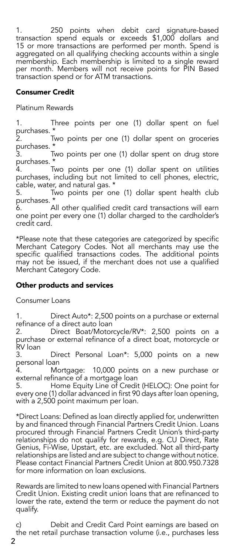1. 250 points when debit card signature-based transaction spend equals or exceeds \$1,000 dollars and 15 or more transactions are performed per month. Spend is aggregated on all qualifying checking accounts within a single membership. Each membership is limited to a single reward per month. Members will not receive points for PIN Based transaction spend or for ATM transactions.

#### Consumer Credit

Platinum Rewards

1. Three points per one (1) dollar spent on fuel purchases. \*<br>2.

Two points per one (1) dollar spent on groceries purchases. \*<br>3.

Two points per one (1) dollar spent on drug store purchases. \*

Two points per one (1) dollar spent on utilities purchases, including but not limited to cell phones, electric, cable, water, and natural gas. \*<br>5. Two points per one

Two points per one (1) dollar spent health club purchases. \*

6. All other qualified credit card transactions will earn one point per every one (1) dollar charged to the cardholder's credit card.

\*Please note that these categories are categorized by specific Merchant Category Codes. Not all merchants may use the specific qualified transactions codes. The additional points may not be issued, if the merchant does not use a qualified Merchant Category Code.

#### Other products and services

Consumer Loans

1. Direct Auto\*: 2,500 points on a purchase or external refinance of a direct auto loan<br>2. Direct Boat/Motor

Direct Boat/Motorcycle/RV\*: 2,500 points on a purchase or external refinance of a direct boat, motorcycle or .<br>२<br>२

Direct Personal Loan\*: 5,000 points on a new personal loan

4. Mortgage: 10,000 points on a new purchase or external refinance of a mortgage loan<br>5. Home Equity Line of Credit

5. Home Equity Line of Credit (HELOC): One point for every one (1) dollar advanced in first 90 days after loan opening, with a 2,500 point maximum per loan.

\*Direct Loans: Defined as loan directly applied for, underwritten by and financed through Financial Partners Credit Union. Loans procured through Financial Partners Credit Union's third-party relationships do not qualify for rewards, e.g. CU Direct, Rate Genius, Fi-Wise, Upstart, etc. are excluded. Not all third-party relationships are listed and are subject to change without notice. Please contact Financial Partners Credit Union at 800.950.7328 for more information on loan exclusions.

Rewards are limited to new loans opened with Financial Partners Credit Union. Existing credit union loans that are refinanced to lower the rate, extend the term or reduce the payment do not qualify.

c) Debit and Credit Card Point earnings are based on the net retail purchase transaction volume (i.e., purchases less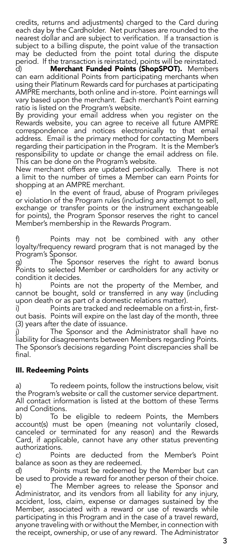credits, returns and adjustments) charged to the Card during each day by the Cardholder. Net purchases are rounded to the nearest dollar and are subject to verification. If a transaction is subject to a billing dispute, the point value of the transaction may be deducted from the point total during the dispute period. If the transaction is reinstated, points will be reinstated. d) Merchant Funded Points (ShopSPOT). Members can earn additional Points from participating merchants when using their Platinum Rewards card for purchases at participating AMPRE merchants, both online and in-store. Point earnings will vary based upon the merchant. Each merchant's Point earning

ratio is listed on the Program's website. By providing your email address when you register on the Rewards website, you can agree to receive all future AMPRE correspondence and notices electronically to that email address. Email is the primary method for contacting Members regarding their participation in the Program. It is the Member's responsibility to update or change the email address on file. This can be done on the Program's website.

New merchant offers are updated periodically. There is not a limit to the number of times a Member can earn Points for shopping at an AMPRE merchant.

e) <sup>I</sup> in the event of fraud, abuse of Program privileges or violation of the Program rules (including any attempt to sell, exchange or transfer points or the instrument exchangeable for points), the Program Sponsor reserves the right to cancel Member's membership in the Rewards Program.

Points may not be combined with any other loyalty/frequency reward program that is not managed by the Program's Sponsor.

g) The Sponsor reserves the right to award bonus Points to selected Member or cardholders for any activity or condition it decides.

h) Points are not the property of the Member, and cannot be bought, sold or transferred in any way (including upon death or as part of a domestic relations matter).<br>i) Points are tracked and redeemable on a firs

Points are tracked and redeemable on a first-in, firstout basis. Points will expire on the last day of the month, three (3) years after the date of issuance.

The Sponsor and the Administrator shall have no liability for disagreements between Members regarding Points. The Sponsor's decisions regarding Point discrepancies shall be final.

#### III. Redeeming Points

a) To redeem points, follow the instructions below, visit the Program's website or call the customer service department. All contact information is listed at the bottom of these Terms and Conditions.

b) To be eligible to redeem Points, the Members account(s) must be open (meaning not voluntarily closed, canceled or terminated for any reason) and the Rewards Card, if applicable, cannot have any other status preventing authorizations.

c) Points are deducted from the Member's Point balance as soon as they are redeemed.

d) Points must be redeemed by the Member but can be used to provide a reward for another person of their choice. e) The Member agrees to release the Sponsor and Administrator, and its vendors from all liability for any injury, accident, loss, claim, expense or damages sustained by the Member, associated with a reward or use of rewards while participating in this Program and in the case of a travel reward, anyone traveling with or without the Member, in connection with the receipt, ownership, or use of any reward. The Administrator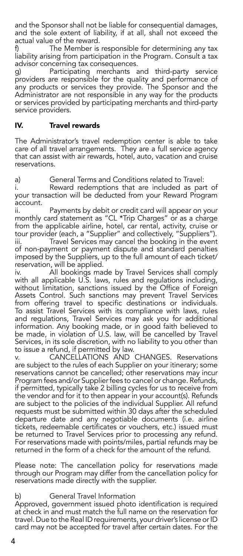and the Sponsor shall not be liable for consequential damages, and the sole extent of liability, if at all, shall not exceed the actual value of the reward.<br>f) The Member is

The Member is responsible for determining any tax liability arising from participation in the Program. Consult a tax advisor concerning tax consequences.

g) Participating merchants and third-party service providers are responsible for the quality and performance of any products or services they provide. The Sponsor and the Administrator are not responsible in any way for the products or services provided by participating merchants and third-party service providers.

#### IV. Travel rewards

The Administrator's travel redemption center is able to take care of all travel arrangements. They are a full service agency that can assist with air rewards, hotel, auto, vacation and cruise reservations.

a) General Terms and Conditions related to Travel:

Reward redemptions that are included as part of your transaction will be deducted from your Reward Program account.

ii. Payments by debit or credit card will appear on your monthly card statement as "CL \*Trip Charges" or as a charge from the applicable airline, hotel, car rental, activity, cruise or tour provider (each, a "Supplier" and collectively, "Suppliers").

iii. Travel Services may cancel the booking in the event of non-payment or payment dispute and standard penalties imposed by the Suppliers, up to the full amount of each ticket/ reservation, will be applied.

iv. All bookings made by Travel Services shall comply with all applicable U.S. laws, rules and regulations including, without limitation, sanctions issued by the Office of Foreign Assets Control. Such sanctions may prevent Travel Services from offering travel to specific destinations or individuals. To assist Travel Services with its compliance with laws, rules and regulations, Travel Services may ask you for additional information. Any booking made, or in good faith believed to be made, in violation of U.S. law, will be cancelled by Travel Services, in its sole discretion, with no liability to you other than to issue a refund, if permitted by law.

v. CANCELLATIONS AND CHANGES. Reservations are subject to the rules of each Supplier on your itinerary; some reservations cannot be cancelled; other reservations may incur Program fees and/or Supplier fees to cancel or change. Refunds, if permitted, typically take 2 billing cycles for us to receive from the vendor and for it to then appear in your account(s). Refunds are subject to the policies of the individual Supplier. All refund requests must be submitted within 30 days after the scheduled departure date and any negotiable documents (i.e. airline tickets, redeemable certificates or vouchers, etc.) issued must be returned to Travel Services prior to processing any refund. For reservations made with points/miles, partial refunds may be returned in the form of a check for the amount of the refund.

Please note: The cancellation policy for reservations made through our Program may differ from the cancellation policy for reservations made directly with the supplier.

#### b) General Travel Information

Approved, government issued photo identification is required at check in and must match the full name on the reservation for travel. Due to the Real ID requirements, your driver's license or ID card may not be accepted for travel after certain dates. For the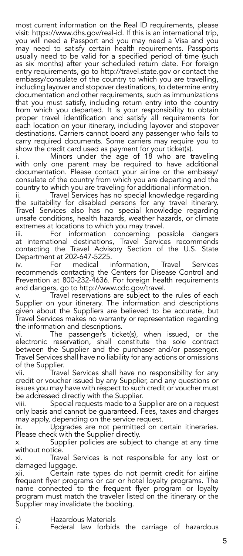most current information on the Real ID requirements, please visit: https://www.dhs.gov/real-id. If this is an international trip, you will need a Passport and you may need a Visa and you may need to satisfy certain health requirements. Passports usually need to be valid for a specified period of time (such as six months) after your scheduled return date. For foreign entry requirements, go to http://travel.state.gov or contact the embassy/consulate of the country to which you are travelling, including layover and stopover destinations, to determine entry documentation and other requirements, such as immunizations that you must satisfy, including return entry into the country from which you departed. It is your responsibility to obtain proper travel identification and satisfy all requirements for each location on your itinerary, including layover and stopover destinations. Carriers cannot board any passenger who fails to carry required documents. Some carriers may require you to show the credit card used as payment for your ticket(s).

Minors under the age of 18 who are traveling with only one parent may be required to have additional documentation. Please contact your airline or the embassy/ consulate of the country from which you are departing and the country to which you are traveling for additional information.

ii. Travel Services has no special knowledge regarding the suitability for disabled persons for any travel itinerary. Travel Services also has no special knowledge regarding unsafe conditions, health hazards, weather hazards, or climate

extremes at locations to which you may travel. information concerning possible dangers at international destinations, Travel Services recommends contacting the Travel Advisory Section of the U.S. State Department at 202-647-5225.

For medical information, Travel Services recommends contacting the Centers for Disease Control and Prevention at 800-232-4636. For foreign health requirements and dangers, go to http://www.cdc.gov/travel.

Travel reservations are subject to the rules of each Supplier on your itinerary. The information and descriptions given about the Suppliers are believed to be accurate, but Travel Services makes no warranty or representation regarding the information and descriptions.

vi. The passenger's ticket(s), when issued, or the electronic reservation, shall constitute the sole contract between the Supplier and the purchaser and/or passenger. Travel Services shall have no liability for any actions or omissions of the Supplier.<br>vii. Trav

Travel Services shall have no responsibility for any credit or voucher issued by any Supplier, and any questions or issues you may have with respect to such credit or voucher must be addressed directly with the Supplier.

viii. Special requests made to a Supplier are on a request only basis and cannot be guaranteed. Fees, taxes and charges may apply, depending on the service request.

ix. Upgrades are not permitted on certain itineraries. Please check with the Supplier directly.

x. Supplier policies are subject to change at any time without notice.

xi. Travel Services is not responsible for any lost or damaged luggage.

xii. Certain rate types do not permit credit for airline frequent flyer programs or car or hotel loyalty programs. The name connected to the frequent flyer program or loyalty program must match the traveler listed on the itinerary or the Supplier may invalidate the booking.

c) Hazardous Materials

i. Federal law forbids the carriage of hazardous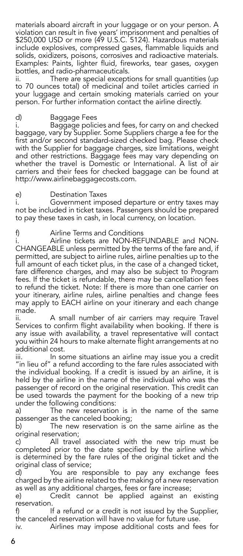materials aboard aircraft in your luggage or on your person. A violation can result in five years' imprisonment and penalties of \$250,000 USD or more (49 U.S.C. 5124). Hazardous materials include explosives, compressed gases, flammable liquids and solids, oxidizers, poisons, corrosives and radioactive materials. Examples: Paints, lighter fluid, fireworks, tear gases, oxygen bottles, and radio-pharmaceuticals.

ii. There are special exceptions for small quantities (up to 70 ounces total) of medicinal and toilet articles carried in your luggage and certain smoking materials carried on your person. For further information contact the airline directly.

#### d) Baggage Fees

i. Baggage policies and fees, for carry on and checked baggage, vary by Supplier. Some Suppliers charge a fee for the first and/or second standard-sized checked bag. Please check with the Supplier for baggage charges, size limitations, weight and other restrictions. Baggage fees may vary depending on whether the travel is Domestic or International. A list of air carriers and their fees for checked baggage can be found at http://www.airlinebaggagecosts.com.

#### e) Destination Taxes

i. Government imposed departure or entry taxes may not be included in ticket taxes. Passengers should be prepared to pay these taxes in cash, in local currency, on location.

f) Airline Terms and Conditions

i. Airline tickets are NON-REFUNDABLE and NON-CHANGEABLE unless permitted by the terms of the fare and, if permitted, are subject to airline rules, airline penalties up to the full amount of each ticket plus, in the case of a changed ticket, fare difference charges, and may also be subject to Program fees. If the ticket is refundable, there may be cancellation fees to refund the ticket. Note: If there is more than one carrier on your itinerary, airline rules, airline penalties and change fees may apply to EACH airline on your itinerary and each change made.

ii. A small number of air carriers may require Travel Services to confirm flight availability when booking. If there is any issue with availability, a travel representative will contact you within 24 hours to make alternate flight arrangements at no additional cost.

iii. In some situations an airline may issue you a credit "in lieu of" a refund according to the fare rules associated with the individual booking. If a credit is issued by an airline, it is held by the airline in the name of the individual who was the passenger of record on the original reservation. This credit can be used towards the payment for the booking of a new trip under the following conditions:

a) The new reservation is in the name of the same passenger as the canceled booking;<br>b) The new reservation is c

The new reservation is on the same airline as the original reservation;<br>c) All travel

All travel associated with the new trip must be completed prior to the date specified by the airline which is determined by the fare rules of the original ticket and the original class of service;

d) You are responsible to pay any exchange fees charged by the airline related to the making of a new reservation as well as any additional charges, fees or fare increase;

e) Credit cannot be applied against an existing .reservation<br>۱<sup>.</sup>

If a refund or a credit is not issued by the Supplier, the canceled reservation will have no value for future use.

iv. Airlines may impose additional costs and fees for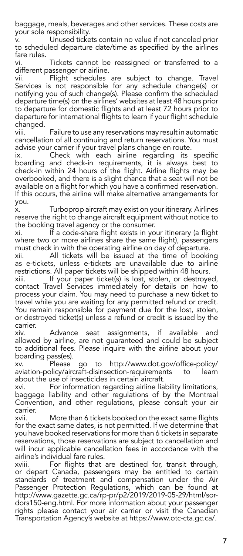baggage, meals, beverages and other services. These costs are your sole responsibility.

v. Unused tickets contain no value if not canceled prior to scheduled departure date/time as specified by the airlines fare rules.

vi. Tickets cannot be reassigned or transferred to a different passenger or airline.<br>vii. Flight schedules

Flight schedules are subject to change. Travel Services is not responsible for any schedule change(s) or notifying you of such change(s). Please confirm the scheduled departure time(s) on the airlines' websites at least 48 hours prior to departure for domestic flights and at least 72 hours prior to departure for international flights to learn if your flight schedule changed.

viii. Failure to use any reservations may result in automatic cancellation of all continuing and return reservations. You must advise your carrier if your travel plans change en route.

ix. Check with each airline regarding its specific boarding and check-in requirements, it is always best to check-in within 24 hours of the flight. Airline flights may be overbooked, and there is a slight chance that a seat will not be available on a flight for which you have a confirmed reservation. If this occurs, the airline will make alternative arrangements for you.

x. Turboprop aircraft may exist on your itinerary. Airlines reserve the right to change aircraft equipment without notice to the booking travel agency or the consumer.

xi. If a code-share flight exists in your itinerary (a flight where two or more airlines share the same flight), passengers must check in with the operating airline on day of departure.

xii. All tickets will be issued at the time of booking as e-tickets, unless e-tickets are unavailable due to airline restrictions. All paper tickets will be shipped within 48 hours.

xiii. If your paper ticket(s) is lost, stolen, or destroyed, contact Travel Services immediately for details on how to process your claim. You may need to purchase a new ticket to travel while you are waiting for any permitted refund or credit. You remain responsible for payment due for the lost, stolen, or destroyed ticket(s) unless a refund or credit is issued by the carrier.

xiv. Advance seat assignments, if available and allowed by airline, are not guaranteed and could be subject to additional fees. Please inquire with the airline about your boarding pass(es).

xv. Please go to http://www.dot.gov/office-policy/ aviation-policy/aircraft-disinsection-requirements to learn about the use of insecticides in certain aircraft.

xvi. For information regarding airline liability limitations, baggage liability and other regulations of by the Montreal Convention, and other regulations, please consult your air carrier.

xvii. More than 6 tickets booked on the exact same flights for the exact same dates, is not permitted. If we determine that you have booked reservations for more than 6 tickets in separate reservations, those reservations are subject to cancellation and will incur applicable cancellation fees in accordance with the airline's individual fare rules.

xviii. For flights that are destined for, transit through, or depart Canada, passengers may be entitled to certain standards of treatment and compensation under the Air Passenger Protection Regulations, which can be found at http://www.gazette.gc.ca/rp-pr/p2/2019/2019-05-29/html/sordors150-eng.html. For more information about your passenger rights please contact your air carrier or visit the Canadian Transportation Agency's website at https://www.otc-cta.gc.ca/.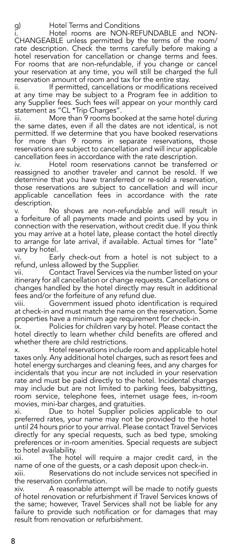g) Hotel Terms and Conditions Hotel rooms are NON-REFUNDABLE and NON-CHANGEABLE unless permitted by the terms of the room/ rate description. Check the terms carefully before making a hotel reservation for cancellation or change terms and fees. For rooms that are non-refundable, if you change or cancel your reservation at any time, you will still be charged the full reservation amount of room and tax for the entire stay.

ii. If permitted, cancellations or modifications received at any time may be subject to a Program fee in addition to any Supplier fees. Such fees will appear on your monthly card statement as "CL \*Trip Charges".

iii. More than 9 rooms booked at the same hotel during the same dates, even if all the dates are not identical, is not permitted. If we determine that you have booked reservations for more than 9 rooms in separate reservations, those reservations are subject to cancellation and will incur applicable cancellation fees in accordance with the rate description.

iv. Hotel room reservations cannot be transferred or reassigned to another traveler and cannot be resold. If we determine that you have transferred or re-sold a reservation, those reservations are subject to cancellation and will incur applicable cancellation fees in accordance with the rate description.

v. No shows are non-refundable and will result in a forfeiture of all payments made and points used by you in connection with the reservation, without credit due. If you think you may arrive at a hotel late, please contact the hotel directly to arrange for late arrival, if available. Actual times for "late vary by hotel.

vi. Early check-out from a hotel is not subject to a refund, unless allowed by the Supplier.

vii. Contact Travel Services via the number listed on your itinerary for all cancellation or change requests. Cancellations or changes handled by the hotel directly may result in additional fees and/or the forfeiture of any refund due.

viii. Government issued photo identification is required at check-in and must match the name on the reservation. Some properties have a minimum age requirement for check-in.

ix. Policies for children vary by hotel. Please contact the hotel directly to learn whether child benefits are offered and whether there are child restrictions.

x. Hotel reservations include room and applicable hotel taxes only. Any additional hotel charges, such as resort fees and hotel energy surcharges and cleaning fees, and any charges for incidentals that you incur are not included in your reservation rate and must be paid directly to the hotel. Incidental charges may include but are not limited to parking fees, babysitting, room service, telephone fees, internet usage fees, in-room movies, mini-bar charges, and gratuities.

xi. Due to hotel Supplier policies applicable to our preferred rates, your name may not be provided to the hotel until 24 hours prior to your arrival. Please contact Travel Services directly for any special requests, such as bed type, smoking preferences or in-room amenities. Special requests are subject to hotel availability.

xii. The hotel will require a major credit card, in the name of one of the guests, or a cash deposit upon check-in.

xiii. Reservations do not include services not specified in the reservation confirmation.

xiv. A reasonable attempt will be made to notify guests of hotel renovation or refurbishment if Travel Services knows of the same; however, Travel Services shall not be liable for any failure to provide such notification or for damages that may result from renovation or refurbishment.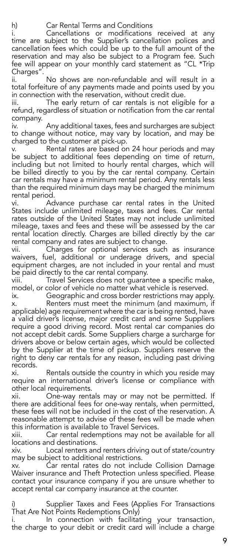h) Car Rental Terms and Conditions

i. Cancellations or modifications received at any time are subject to the Supplier's cancellation polices and cancellation fees which could be up to the full amount of the reservation and may also be subject to a Program fee. Such fee will appear on your monthly card statement as "CL \*Trip Charges".

No shows are non-refundable and will result in a total forfeiture of any payments made and points used by you in connection with the reservation, without credit due.

iii. The early return of car rentals is not eligible for a refund, regardless of situation or notification from the car rental company.

iv. Any additional taxes, fees and surcharges are subject to change without notice, may vary by location, and may be charged to the customer at pick-up.

v. <sup>S</sup> Rental rates are based on 24 hour periods and may be subject to additional fees depending on time of return, including but not limited to hourly rental charges, which will be billed directly to you by the car rental company. Certain car rentals may have a minimum rental period. Any rentals less than the required minimum days may be charged the minimum rental period.

vi. Advance purchase car rental rates in the United States include unlimited mileage, taxes and fees. Car rental rates outside of the United States may not include unlimited mileage, taxes and fees and these will be assessed by the car rental location directly. Charges are billed directly by the car rental company and rates are subject to change.

vii. Charges for optional services such as insurance waivers, fuel, additional or underage drivers, and special equipment charges, are not included in your rental and must be paid directly to the car rental company.

viii. Travel Services does not guarantee a specific make, model, or color of vehicle no matter what vehicle is reserved.

ix. Geographic and cross border restrictions may apply. x. Renters must meet the minimum (and maximum, if applicable) age requirement where the car is being rented, have a valid driver's license, major credit card and some Suppliers require a good driving record. Most rental car companies do not accept debit cards. Some Suppliers charge a surcharge for drivers above or below certain ages, which would be collected by the Supplier at the time of pickup. Suppliers reserve the right to deny car rentals for any reason, including past driving records.

xi. Rentals outside the country in which you reside may require an international driver's license or compliance with other local requirements.

xii. One-way rentals may or may not be permitted. If there are additional fees for one-way rentals, when permitted, these fees will not be included in the cost of the reservation. A reasonable attempt to advise of these fees will be made when this information is available to Travel Services.

xiii. Car rental redemptions may not be available for all locations and destinations.

xiv. Local renters and renters driving out of state/country may be subject to additional restrictions.

xv. Car rental rates do not include Collision Damage Waiver insurance and Theft Protection unless specified. Please contact your insurance company if you are unsure whether to accept rental car company insurance at the counter.

i) Supplier Taxes and Fees (Applies For Transactions That Are Not Points Redemptions Only)

i. In connection with facilitating your transaction, the charge to your debit or credit card will include a charge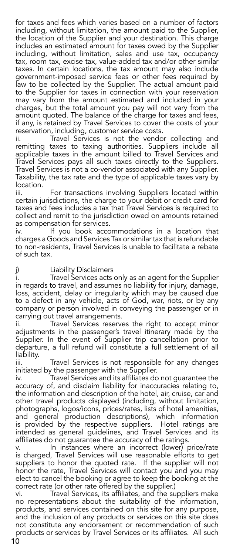for taxes and fees which varies based on a number of factors including, without limitation, the amount paid to the Supplier, the location of the Supplier and your destination. This charge includes an estimated amount for taxes owed by the Supplier including, without limitation, sales and use tax, occupancy tax, room tax, excise tax, value-added tax and/or other similar taxes. In certain locations, the tax amount may also include government-imposed service fees or other fees required by law to be collected by the Supplier. The actual amount paid to the Supplier for taxes in connection with your reservation may vary from the amount estimated and included in your charges, but the total amount you pay will not vary from the amount quoted. The balance of the charge for taxes and fees, if any, is retained by Travel Services to cover the costs of your reservation, including, customer service costs.

ii. Travel Services is not the vendor collecting and remitting taxes to taxing authorities. Suppliers include all applicable taxes in the amount billed to Travel Services and Travel Services pays all such taxes directly to the Suppliers. Travel Services is not a co-vendor associated with any Supplier. Taxability, the tax rate and the type of applicable taxes vary by location.

For transactions involving Suppliers located within certain jurisdictions, the charge to your debit or credit card for taxes and fees includes a tax that Travel Services is required to collect and remit to the jurisdiction owed on amounts retained as compensation for services.

iv. If you book accommodations in a location that charges a Goods and Services Tax or similar tax that is refundable to non-residents, Travel Services is unable to facilitate a rebate of such tax.

j) Liability Disclaimers Travel Services acts only as an agent for the Supplier in regards to travel, and assumes no liability for injury, damage, loss, accident, delay or irregularity which may be caused due to a defect in any vehicle, acts of God, war, riots, or by any company or person involved in conveying the passenger or in carrying out travel arrangements.

ii. Travel Services reserves the right to accept minor adjustments in the passenger's travel itinerary made by the Supplier. In the event of Supplier trip cancellation prior to departure, a full refund will constitute a full settlement of all liability.

iii. Travel Services is not responsible for any changes initiated by the passenger with the Supplier.

iv. Travel Services and its affiliates do not guarantee the accuracy of, and disclaim liability for inaccuracies relating to, the information and description of the hotel, air, cruise, car and other travel products displayed (including, without limitation, photographs, logos/icons, prices/rates, lists of hotel amenities, and general production descriptions), which information is provided by the respective suppliers. Hotel ratings are intended as general guidelines, and Travel Services and its affiliates do not guarantee the accuracy of the ratings.<br>v. In instances where an incorrect (lower) p

In instances where an incorrect (lower) price/rate is charged, Travel Services will use reasonable efforts to get suppliers to honor the quoted rate. If the supplier will not honor the rate, Travel Services will contact you and you may elect to cancel the booking or agree to keep the booking at the correct rate (or other rate offered by the supplier.)

vi. Travel Services, its affiliates, and the suppliers make no representations about the suitability of the information, products, and services contained on this site for any purpose, and the inclusion of any products or services on this site does not constitute any endorsement or recommendation of such products or services by Travel Services or its affiliates. All such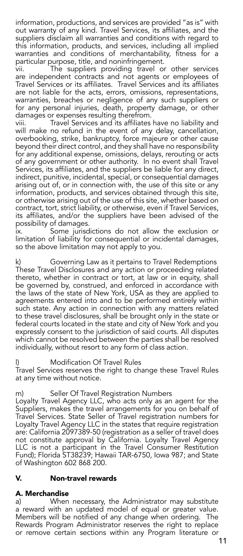information, productions, and services are provided "as is" with out warranty of any kind. Travel Services, its affiliates, and the suppliers disclaim all warranties and conditions with regard to this information, products, and services, including all implied warranties and conditions of merchantability, fitness for a particular purpose, title, and noninfringement.

vii. The suppliers providing travel or other services are independent contracts and not agents or employees of Travel Services or its affiliates. Travel Services and its affiliates are not liable for the acts, errors, omissions, representations, warranties, breaches or negligence of any such suppliers or for any personal injuries, death, property damage, or other damages or expenses resulting therefrom.

Travel Services and its affiliates have no liability and will make no refund in the event of any delay, cancellation, overbooking, strike, bankruptcy, force majeure or other cause beyond their direct control, and they shall have no responsibility for any additional expense, omissions, delays, rerouting or acts of any government or other authority. In no event shall Travel Services, its affiliates, and the suppliers be liable for any direct, indirect, punitive, incidental, special, or consequential damages arising out of, or in connection with, the use of this site or any information, products, and services obtained through this site, or otherwise arising out of the use of this site, whether based on contract, tort, strict liability, or otherwise, even if Travel Services, its affiliates, and/or the suppliers have been advised of the possibility of damages.

ix. Some jurisdictions do not allow the exclusion or limitation of liability for consequential or incidental damages, so the above limitation may not apply to you.

k) Governing Law as it pertains to Travel Redemptions These Travel Disclosures and any action or proceeding related thereto, whether in contract or tort, at law or in equity, shall be governed by, construed, and enforced in accordance with the laws of the state of New York, USA as they are applied to agreements entered into and to be performed entirely within such state. Any action in connection with any matters related to these travel disclosures, shall be brought only in the state or federal courts located in the state and city of New York and you expressly consent to the jurisdiction of said courts. All disputes which cannot be resolved between the parties shall be resolved individually, without resort to any form of class action.

Modification Of Travel Rules Travel Services reserves the right to change these Travel Rules at any time without notice.

m) Seller Of Travel Registration Numbers Loyalty Travel Agency LLC, who acts only as an agent for the Suppliers, makes the travel arrangements for you on behalf of Travel Services. State Seller of Travel registration numbers for Loyalty Travel Agency LLC in the states that require registration are: California 2097389-50 (registration as a seller of travel does not constitute approval by California. Loyalty Travel Agency LLC is not a participant in the Travel Consumer Restitution Fund); Florida ST38239; Hawaii TAR-6750, Iowa 987; and State of Washington 602 868 200.

#### V. Non-travel rewards

### **A. Merchandise**<br>a) When

When necessary, the Administrator may substitute a reward with an updated model of equal or greater value. Members will be notified of any change when ordering. The Rewards Program Administrator reserves the right to replace or remove certain sections within any Program literature or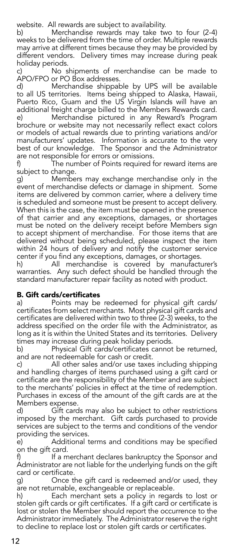website. All rewards are subject to availability.

b) Merchandise rewards may take two to four (2-4) weeks to be delivered from the time of order. Multiple rewards may arrive at different times because they may be provided by different vendors. Delivery times may increase during peak

holiday periods.<br>c) No s No shipments of merchandise can be made to APO/FPO or PO Box addresses.

d) Merchandise shippable by UPS will be available to all US territories. Items being shipped to Alaska, Hawaii, Puerto Rico, Guam and the US Virgin Islands will have an additional freight charge billed to the Members Rewards card.<br>e) Merchandise pictured in any Reward's Program Merchandise pictured in any Reward's Program brochure or website may not necessarily reflect exact colors or models of actual rewards due to printing variations and/or manufacturers' updates. Information is accurate to the very best of our knowledge. The Sponsor and the Administrator

are not responsible for errors or omissions.<br>f) The number of Points required t The number of Points required for reward items are subject to change.

g) Members may exchange merchandise only in the event of merchandise defects or damage in shipment. Some items are delivered by common carrier, where a delivery time is scheduled and someone must be present to accept delivery. When this is the case, the item must be opened in the presence of that carrier and any exceptions, damages, or shortages must be noted on the delivery receipt before Members sign to accept shipment of merchandise. For those items that are delivered without being scheduled, please inspect the item within 24 hours of delivery and notify the customer service center if you find any exceptions, damages, or shortages.

h) All merchandise is covered by manufacturer's warranties. Any such defect should be handled through the standard manufacturer repair facility as noted with product.

#### B. Gift cards/certificates

a) Points may be redeemed for physical gift cards/ certificates from select merchants. Most physical gift cards and certificates are delivered within two to three (2-3) weeks, to the address specified on the order file with the Administrator, as long as it is within the United States and its territories. Delivery times may increase during peak holiday periods.<br>b) Physical Gift cards/certificates cannot

Physical Gift cards/certificates cannot be returned, and are not redeemable for cash or credit.

c) All other sales and/or use taxes including shipping and handling charges of items purchased using a gift card or certificate are the responsibility of the Member and are subject to the merchants' policies in effect at the time of redemption. Purchases in excess of the amount of the gift cards are at the Members expense.

d) Gift cards may also be subject to other restrictions imposed by the merchant. Gift cards purchased to provide services are subject to the terms and conditions of the vendor providing the services.<br>e) Additional t

Additional terms and conditions may be specified on the gift card.<br>f) If a m

If a merchant declares bankruptcy the Sponsor and Administrator are not liable for the underlying funds on the gift card or certificate.

g) Once the gift card is redeemed and/or used, they are not returnable, exchangeable or replaceable.

h) Each merchant sets a policy in regards to lost or stolen gift cards or gift certificates. If a gift card or certificate is lost or stolen the Member should report the occurrence to the Administrator immediately. The Administrator reserve the right to decline to replace lost or stolen gift cards or certificates.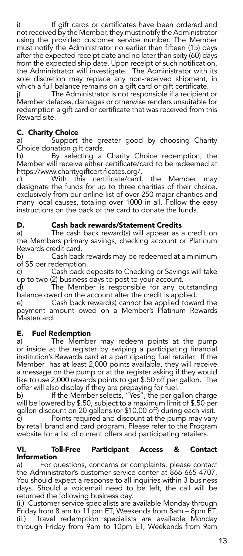i) If gift cards or certificates have been ordered and not received by the Member, they must notify the Administrator using the provided customer service number. The Member must notify the Administrator no earlier than fifteen (15) days after the expected receipt date and no later than sixty (60) days from the expected ship date. Upon receipt of such notification, the Administrator will investigate. The Administrator with its sole discretion may replace any non-received shipment, in which a full balance remains on a gift card or gift certificate.<br>i) The Administrator is not responsible if a recipient

The Administrator is not responsible if a recipient or Member defaces, damages or otherwise renders unsuitable for redemption a gift card or certificate that was received from this Reward site.

#### C. Charity Choice

a) Support the greater good by choosing Charity Choice donation gift cards.

b) By selecting a Charity Choice redemption, the Member will receive either certificate/card to be redeemed at https://www.charitygiftcertificates.org/.

c) With this certificate/card, the Member may designate the funds for up to three charities of their choice, exclusively from our online list of over 250 major charities and many local causes, totaling over 1000 in all. Follow the easy instructions on the back of the card to donate the funds.

### **D. Cash back rewards/Statement Credits**<br>a) The cash back reward(s) will appear as

The cash back reward(s) will appear as a credit on the Members primary savings, checking account or Platinum Rewards credit card.<br>b) Cash back

Cash back rewards may be redeemed at a minimum of \$5 per redemption.

c) Cash back deposits to Checking or Savings will take up to two (2) business days to post to your account.

The Member is responsible for any outstanding balance owed on the account after the credit is applied.

e) Cash back reward(s) cannot be applied toward the payment amount owed on a Member's Platinum Rewards Mastercard.

#### E. Fuel Redemption

a) The Member may redeem points at the pump or inside at the register by swiping a participating financial institution's Rewards card at a participating fuel retailer. If the Member has at least 2,000 points available, they will receive a message on the pump or at the register asking if they would like to use 2,000 rewards points to get \$.50 off per gallon. The offer will also display if they are prepaying for fuel.

b) If the Member selects, "Yes", the per gallon charge will be lowered by \$.50, subject to a maximum limit of \$.50 per gallon discount on 20 gallons (or \$10.00 off) during each visit.<br>c) Points required and discount at the pump may vary

Points required and discount at the pump may vary by retail brand and card program. Please refer to the Program website for a list of current offers and participating retailers.

#### VI. Toll-Free Participant Access & Contact Information

a) For questions, concerns or complaints, please contact the Administrator's customer service center at 866-665-4707. You should expect a response to all inquiries within 3 business days. Should a voicemail need to be left, the call will be returned the following business day.

(i.) Customer service specialists are available Monday through Friday from 8 am to 11 pm ET, Weekends from 8am – 8pm ET. (ii.) Travel redemption specialists are available Monday through Friday from 9am to 10pm ET, Weekends from 9am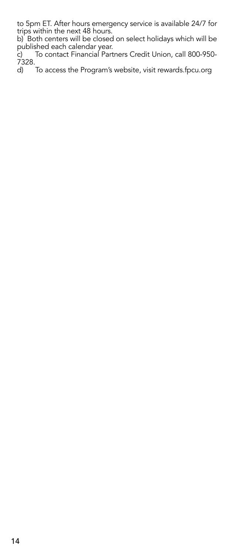to 5pm ET. After hours emergency service is available 24/7 for trips within the next 48 hours.

b) Both centers will be closed on select holidays which will be published each calendar year.

c) To contact Financial Partners Credit Union, call 800-950- 7328.

d) To access the Program's website, visit rewards.fpcu.org